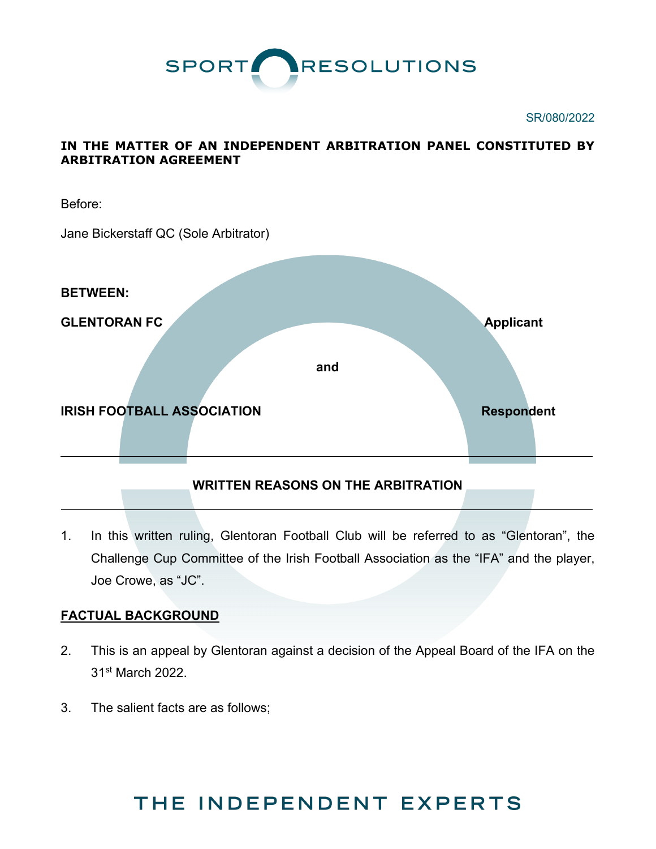

#### SR/080/2022

## **IN THE MATTER OF AN INDEPENDENT ARBITRATION PANEL CONSTITUTED BY ARBITRATION AGREEMENT**



## **WRITTEN REASONS ON THE ARBITRATION**

1. In this written ruling, Glentoran Football Club will be referred to as "Glentoran", the Challenge Cup Committee of the Irish Football Association as the "IFA" and the player, Joe Crowe, as "JC".

## **FACTUAL BACKGROUND**

- 2. This is an appeal by Glentoran against a decision of the Appeal Board of the IFA on the 31st March 2022.
- 3. The salient facts are as follows;

# THE INDEPENDENT EXPERTS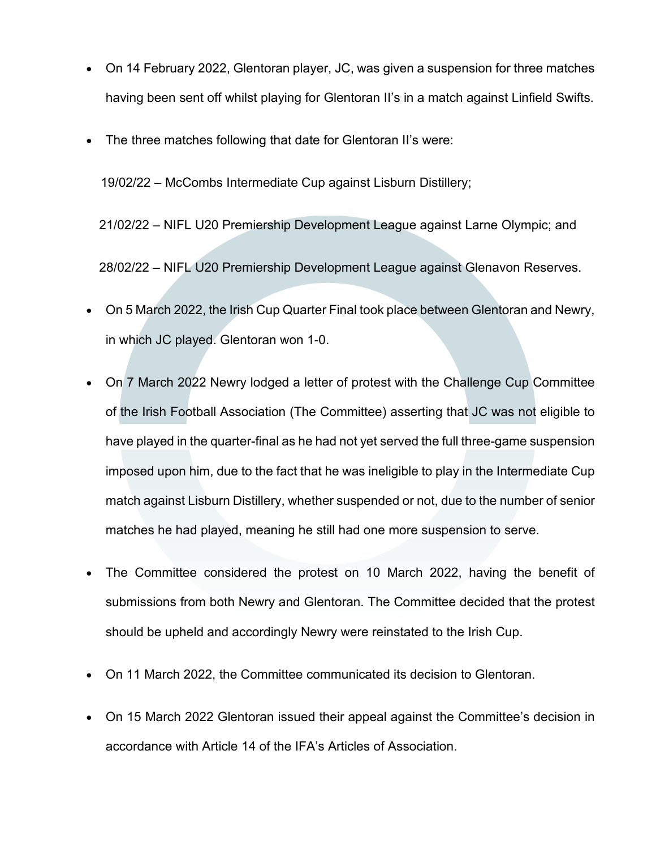- On 14 February 2022, Glentoran player, JC, was given a suspension for three matches having been sent off whilst playing for Glentoran II's in a match against Linfield Swifts.
- The three matches following that date for Glentoran II's were:

19/02/22 – McCombs Intermediate Cup against Lisburn Distillery;

21/02/22 – NIFL U20 Premiership Development League against Larne Olympic; and

28/02/22 – NIFL U20 Premiership Development League against Glenavon Reserves.

- On 5 March 2022, the Irish Cup Quarter Final took place between Glentoran and Newry, in which JC played. Glentoran won 1-0.
- On 7 March 2022 Newry lodged a letter of protest with the Challenge Cup Committee of the Irish Football Association (The Committee) asserting that JC was not eligible to have played in the quarter-final as he had not yet served the full three-game suspension imposed upon him, due to the fact that he was ineligible to play in the Intermediate Cup match against Lisburn Distillery, whether suspended or not, due to the number of senior matches he had played, meaning he still had one more suspension to serve.
- The Committee considered the protest on 10 March 2022, having the benefit of submissions from both Newry and Glentoran. The Committee decided that the protest should be upheld and accordingly Newry were reinstated to the Irish Cup.
- On 11 March 2022, the Committee communicated its decision to Glentoran.
- On 15 March 2022 Glentoran issued their appeal against the Committee's decision in accordance with Article 14 of the IFA's Articles of Association.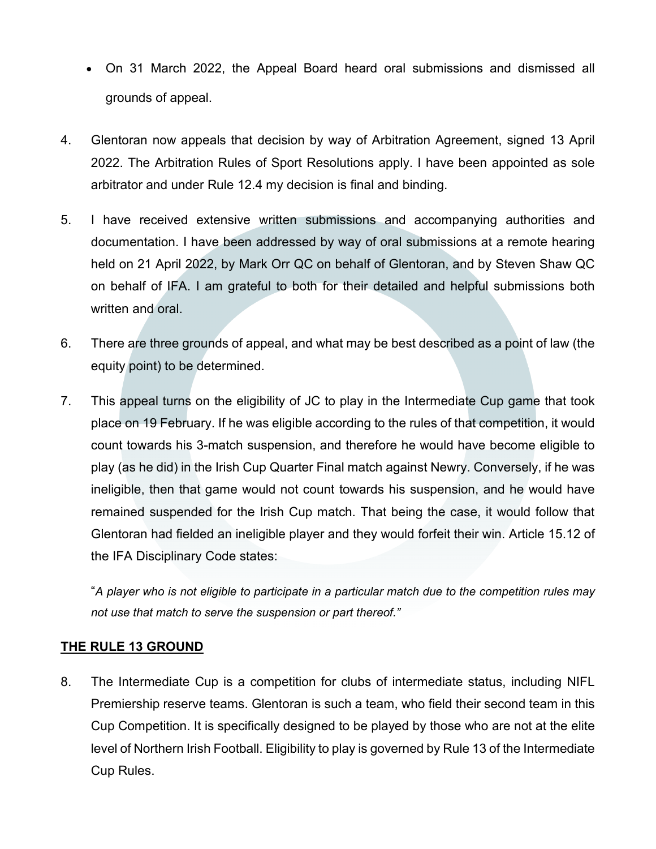- On 31 March 2022, the Appeal Board heard oral submissions and dismissed all grounds of appeal.
- 4. Glentoran now appeals that decision by way of Arbitration Agreement, signed 13 April 2022. The Arbitration Rules of Sport Resolutions apply. I have been appointed as sole arbitrator and under Rule 12.4 my decision is final and binding.
- 5. I have received extensive written submissions and accompanying authorities and documentation. I have been addressed by way of oral submissions at a remote hearing held on 21 April 2022, by Mark Orr QC on behalf of Glentoran, and by Steven Shaw QC on behalf of IFA. I am grateful to both for their detailed and helpful submissions both written and oral.
- 6. There are three grounds of appeal, and what may be best described as a point of law (the equity point) to be determined.
- 7. This appeal turns on the eligibility of JC to play in the Intermediate Cup game that took place on 19 February. If he was eligible according to the rules of that competition, it would count towards his 3-match suspension, and therefore he would have become eligible to play (as he did) in the Irish Cup Quarter Final match against Newry. Conversely, if he was ineligible, then that game would not count towards his suspension, and he would have remained suspended for the Irish Cup match. That being the case, it would follow that Glentoran had fielded an ineligible player and they would forfeit their win. Article 15.12 of the IFA Disciplinary Code states:

"*A player who is not eligible to participate in a particular match due to the competition rules may not use that match to serve the suspension or part thereof."*

## **THE RULE 13 GROUND**

8. The Intermediate Cup is a competition for clubs of intermediate status, including NIFL Premiership reserve teams. Glentoran is such a team, who field their second team in this Cup Competition. It is specifically designed to be played by those who are not at the elite level of Northern Irish Football. Eligibility to play is governed by Rule 13 of the Intermediate Cup Rules.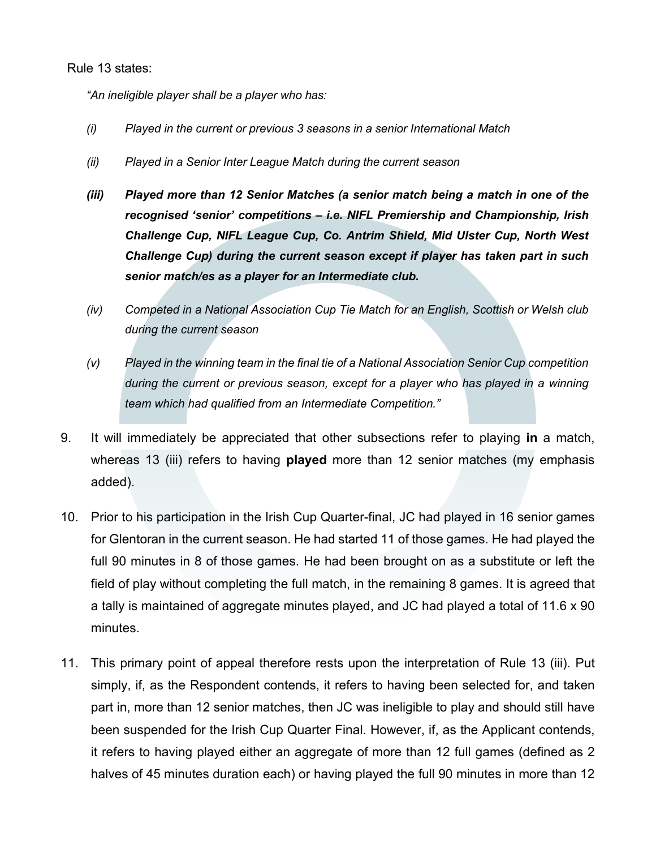#### Rule 13 states:

*"An ineligible player shall be a player who has:*

- *(i) Played in the current or previous 3 seasons in a senior International Match*
- *(ii) Played in a Senior Inter League Match during the current season*
- *(iii) Played more than 12 Senior Matches (a senior match being a match in one of the recognised 'senior' competitions – i.e. NIFL Premiership and Championship, Irish Challenge Cup, NIFL League Cup, Co. Antrim Shield, Mid Ulster Cup, North West Challenge Cup) during the current season except if player has taken part in such senior match/es as a player for an Intermediate club.*
- *(iv) Competed in a National Association Cup Tie Match for an English, Scottish or Welsh club during the current season*
- *(v) Played in the winning team in the final tie of a National Association Senior Cup competition during the current or previous season, except for a player who has played in a winning team which had qualified from an Intermediate Competition."*
- 9. It will immediately be appreciated that other subsections refer to playing **in** a match, whereas 13 (iii) refers to having **played** more than 12 senior matches (my emphasis added).
- 10. Prior to his participation in the Irish Cup Quarter-final, JC had played in 16 senior games for Glentoran in the current season. He had started 11 of those games. He had played the full 90 minutes in 8 of those games. He had been brought on as a substitute or left the field of play without completing the full match, in the remaining 8 games. It is agreed that a tally is maintained of aggregate minutes played, and JC had played a total of 11.6 x 90 minutes.
- 11. This primary point of appeal therefore rests upon the interpretation of Rule 13 (iii). Put simply, if, as the Respondent contends, it refers to having been selected for, and taken part in, more than 12 senior matches, then JC was ineligible to play and should still have been suspended for the Irish Cup Quarter Final. However, if, as the Applicant contends, it refers to having played either an aggregate of more than 12 full games (defined as 2 halves of 45 minutes duration each) or having played the full 90 minutes in more than 12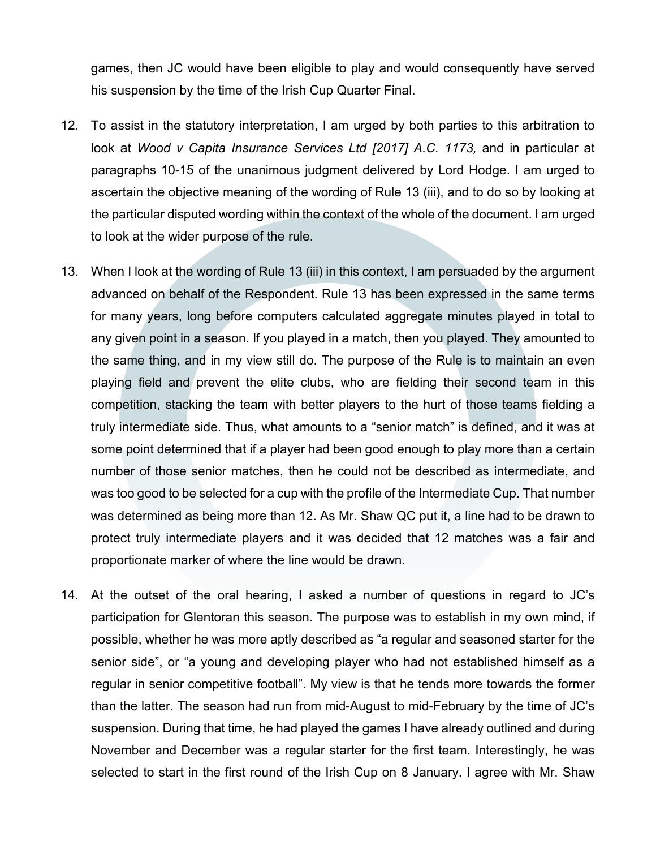games, then JC would have been eligible to play and would consequently have served his suspension by the time of the Irish Cup Quarter Final.

- 12. To assist in the statutory interpretation, I am urged by both parties to this arbitration to look at *Wood v Capita Insurance Services Ltd [2017] A.C. 1173, and in particular at* paragraphs 10-15 of the unanimous judgment delivered by Lord Hodge. I am urged to ascertain the objective meaning of the wording of Rule 13 (iii), and to do so by looking at the particular disputed wording within the context of the whole of the document. I am urged to look at the wider purpose of the rule.
- 13. When I look at the wording of Rule 13 (iii) in this context, I am persuaded by the argument advanced on behalf of the Respondent. Rule 13 has been expressed in the same terms for many years, long before computers calculated aggregate minutes played in total to any given point in a season. If you played in a match, then you played. They amounted to the same thing, and in my view still do. The purpose of the Rule is to maintain an even playing field and prevent the elite clubs, who are fielding their second team in this competition, stacking the team with better players to the hurt of those teams fielding a truly intermediate side. Thus, what amounts to a "senior match" is defined, and it was at some point determined that if a player had been good enough to play more than a certain number of those senior matches, then he could not be described as intermediate, and was too good to be selected for a cup with the profile of the Intermediate Cup. That number was determined as being more than 12. As Mr. Shaw QC put it, a line had to be drawn to protect truly intermediate players and it was decided that 12 matches was a fair and proportionate marker of where the line would be drawn.
- 14. At the outset of the oral hearing, I asked a number of questions in regard to JC's participation for Glentoran this season. The purpose was to establish in my own mind, if possible, whether he was more aptly described as "a regular and seasoned starter for the senior side", or "a young and developing player who had not established himself as a regular in senior competitive football". My view is that he tends more towards the former than the latter. The season had run from mid-August to mid-February by the time of JC's suspension. During that time, he had played the games I have already outlined and during November and December was a regular starter for the first team. Interestingly, he was selected to start in the first round of the Irish Cup on 8 January. I agree with Mr. Shaw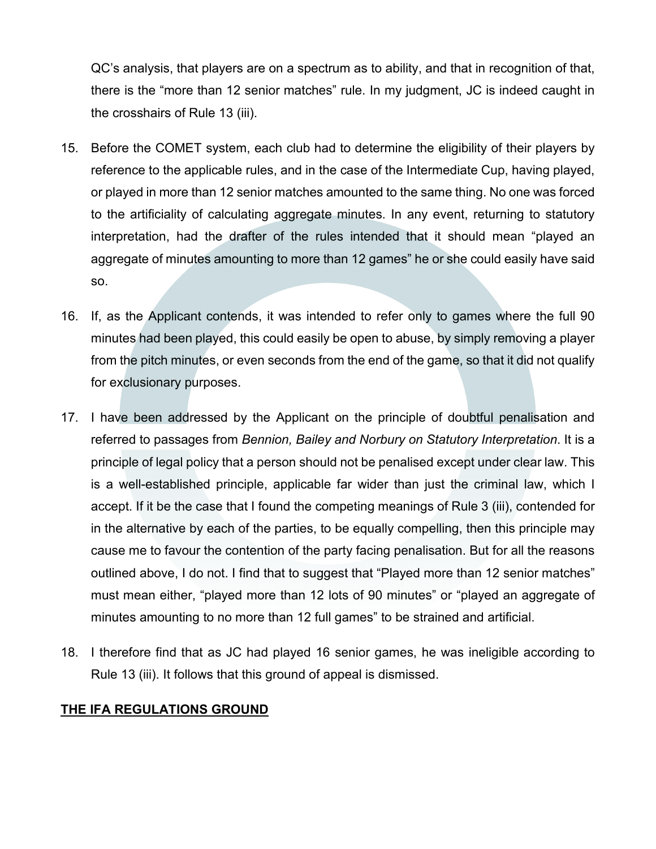QC's analysis, that players are on a spectrum as to ability, and that in recognition of that, there is the "more than 12 senior matches" rule. In my judgment, JC is indeed caught in the crosshairs of Rule 13 (iii).

- 15. Before the COMET system, each club had to determine the eligibility of their players by reference to the applicable rules, and in the case of the Intermediate Cup, having played, or played in more than 12 senior matches amounted to the same thing. No one was forced to the artificiality of calculating aggregate minutes. In any event, returning to statutory interpretation, had the drafter of the rules intended that it should mean "played an aggregate of minutes amounting to more than 12 games" he or she could easily have said so.
- 16. If, as the Applicant contends, it was intended to refer only to games where the full 90 minutes had been played, this could easily be open to abuse, by simply removing a player from the pitch minutes, or even seconds from the end of the game, so that it did not qualify for exclusionary purposes.
- 17. I have been addressed by the Applicant on the principle of doubtful penalisation and referred to passages from *Bennion, Bailey and Norbury on Statutory Interpretation*. It is a principle of legal policy that a person should not be penalised except under clear law. This is a well-established principle, applicable far wider than just the criminal law, which I accept. If it be the case that I found the competing meanings of Rule 3 (iii), contended for in the alternative by each of the parties, to be equally compelling, then this principle may cause me to favour the contention of the party facing penalisation. But for all the reasons outlined above, I do not. I find that to suggest that "Played more than 12 senior matches" must mean either, "played more than 12 lots of 90 minutes" or "played an aggregate of minutes amounting to no more than 12 full games" to be strained and artificial.
- 18. I therefore find that as JC had played 16 senior games, he was ineligible according to Rule 13 (iii). It follows that this ground of appeal is dismissed.

## **THE IFA REGULATIONS GROUND**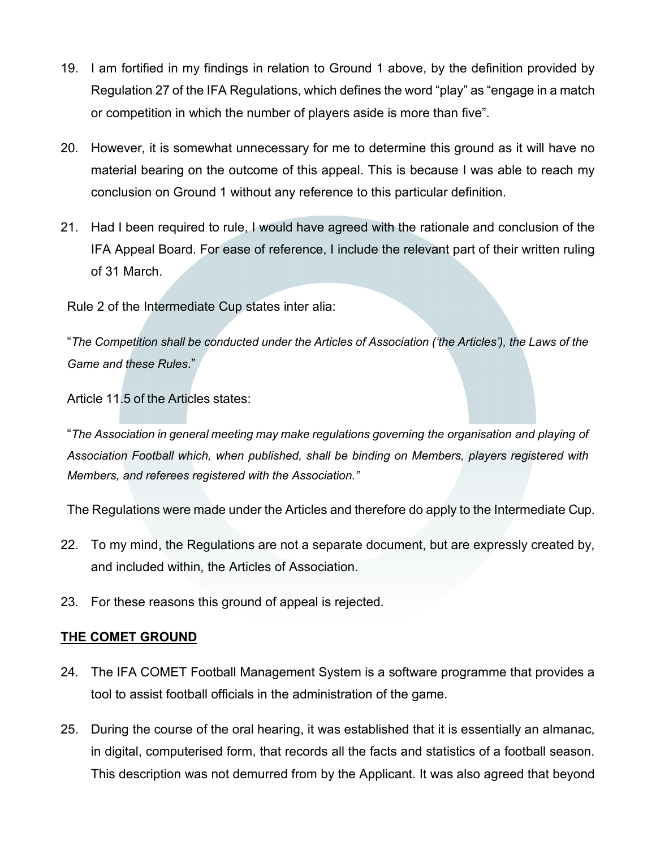- 19. I am fortified in my findings in relation to Ground 1 above, by the definition provided by Regulation 27 of the IFA Regulations, which defines the word "play" as "engage in a match or competition in which the number of players aside is more than five".
- 20. However, it is somewhat unnecessary for me to determine this ground as it will have no material bearing on the outcome of this appeal. This is because I was able to reach my conclusion on Ground 1 without any reference to this particular definition.
- 21. Had I been required to rule, I would have agreed with the rationale and conclusion of the IFA Appeal Board. For ease of reference, I include the relevant part of their written ruling of 31 March.

Rule 2 of the Intermediate Cup states inter alia:

"*The Competition shall be conducted under the Articles of Association ('the Articles'), the Laws of the Game and these Rules*."

Article 11.5 of the Articles states:

"*The Association in general meeting may make regulations governing the organisation and playing of Association Football which, when published, shall be binding on Members, players registered with Members, and referees registered with the Association."*

The Regulations were made under the Articles and therefore do apply to the Intermediate Cup.

- 22. To my mind, the Regulations are not a separate document, but are expressly created by, and included within, the Articles of Association.
- 23. For these reasons this ground of appeal is rejected.

## **THE COMET GROUND**

- 24. The IFA COMET Football Management System is a software programme that provides a tool to assist football officials in the administration of the game.
- 25. During the course of the oral hearing, it was established that it is essentially an almanac, in digital, computerised form, that records all the facts and statistics of a football season. This description was not demurred from by the Applicant. It was also agreed that beyond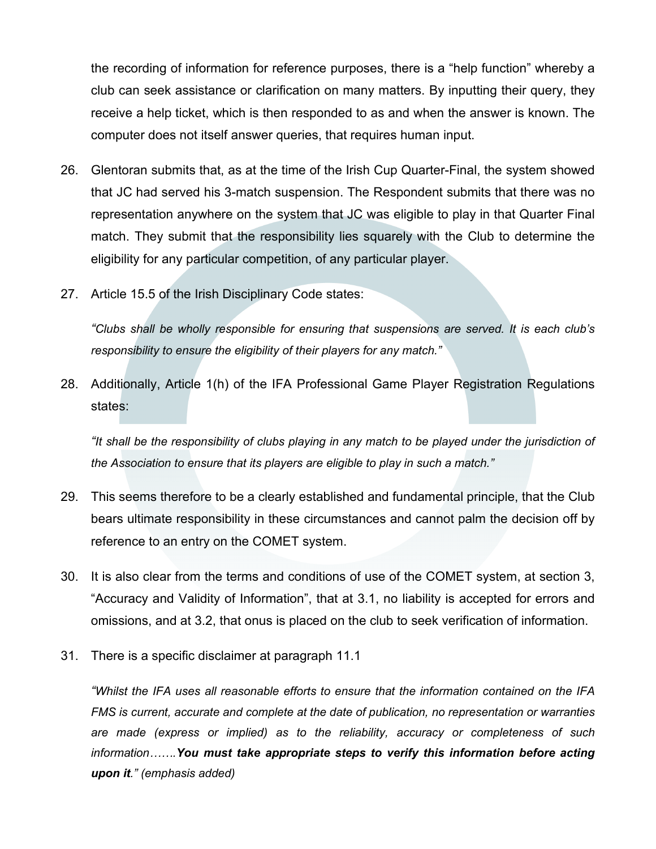the recording of information for reference purposes, there is a "help function" whereby a club can seek assistance or clarification on many matters. By inputting their query, they receive a help ticket, which is then responded to as and when the answer is known. The computer does not itself answer queries, that requires human input.

- 26. Glentoran submits that, as at the time of the Irish Cup Quarter-Final, the system showed that JC had served his 3-match suspension. The Respondent submits that there was no representation anywhere on the system that JC was eligible to play in that Quarter Final match. They submit that the responsibility lies squarely with the Club to determine the eligibility for any particular competition, of any particular player.
- 27. Article 15.5 of the Irish Disciplinary Code states:

*"Clubs shall be wholly responsible for ensuring that suspensions are served. It is each club's responsibility to ensure the eligibility of their players for any match."*

28. Additionally, Article 1(h) of the IFA Professional Game Player Registration Regulations states:

*"It shall be the responsibility of clubs playing in any match to be played under the jurisdiction of the Association to ensure that its players are eligible to play in such a match."*

- 29. This seems therefore to be a clearly established and fundamental principle, that the Club bears ultimate responsibility in these circumstances and cannot palm the decision off by reference to an entry on the COMET system.
- 30. It is also clear from the terms and conditions of use of the COMET system, at section 3, "Accuracy and Validity of Information", that at 3.1, no liability is accepted for errors and omissions, and at 3.2, that onus is placed on the club to seek verification of information.
- 31. There is a specific disclaimer at paragraph 11.1

*"Whilst the IFA uses all reasonable efforts to ensure that the information contained on the IFA FMS is current, accurate and complete at the date of publication, no representation or warranties are made (express or implied) as to the reliability, accuracy or completeness of such information…….You must take appropriate steps to verify this information before acting upon it." (emphasis added)*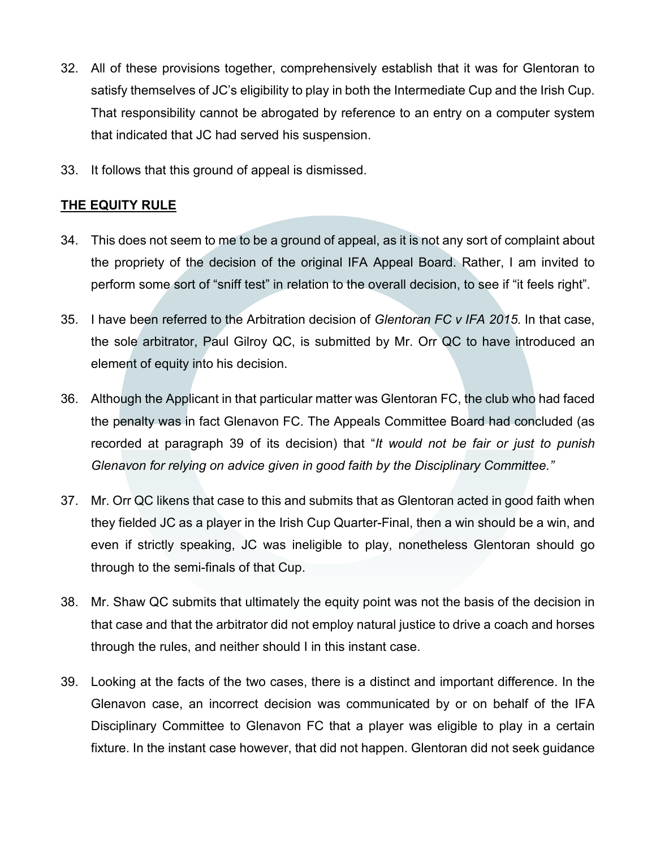- 32. All of these provisions together, comprehensively establish that it was for Glentoran to satisfy themselves of JC's eligibility to play in both the Intermediate Cup and the Irish Cup. That responsibility cannot be abrogated by reference to an entry on a computer system that indicated that JC had served his suspension.
- 33. It follows that this ground of appeal is dismissed.

# **THE EQUITY RULE**

- 34. This does not seem to me to be a ground of appeal, as it is not any sort of complaint about the propriety of the decision of the original IFA Appeal Board. Rather, I am invited to perform some sort of "sniff test" in relation to the overall decision, to see if "it feels right".
- 35. I have been referred to the Arbitration decision of *Glentoran FC v IFA 2015*. In that case, the sole arbitrator, Paul Gilroy QC, is submitted by Mr. Orr QC to have introduced an element of equity into his decision.
- 36. Although the Applicant in that particular matter was Glentoran FC, the club who had faced the penalty was in fact Glenavon FC. The Appeals Committee Board had concluded (as recorded at paragraph 39 of its decision) that "*It would not be fair or just to punish Glenavon for relying on advice given in good faith by the Disciplinary Committee."*
- 37. Mr. Orr QC likens that case to this and submits that as Glentoran acted in good faith when they fielded JC as a player in the Irish Cup Quarter-Final, then a win should be a win, and even if strictly speaking, JC was ineligible to play, nonetheless Glentoran should go through to the semi-finals of that Cup.
- 38. Mr. Shaw QC submits that ultimately the equity point was not the basis of the decision in that case and that the arbitrator did not employ natural justice to drive a coach and horses through the rules, and neither should I in this instant case.
- 39. Looking at the facts of the two cases, there is a distinct and important difference. In the Glenavon case, an incorrect decision was communicated by or on behalf of the IFA Disciplinary Committee to Glenavon FC that a player was eligible to play in a certain fixture. In the instant case however, that did not happen. Glentoran did not seek guidance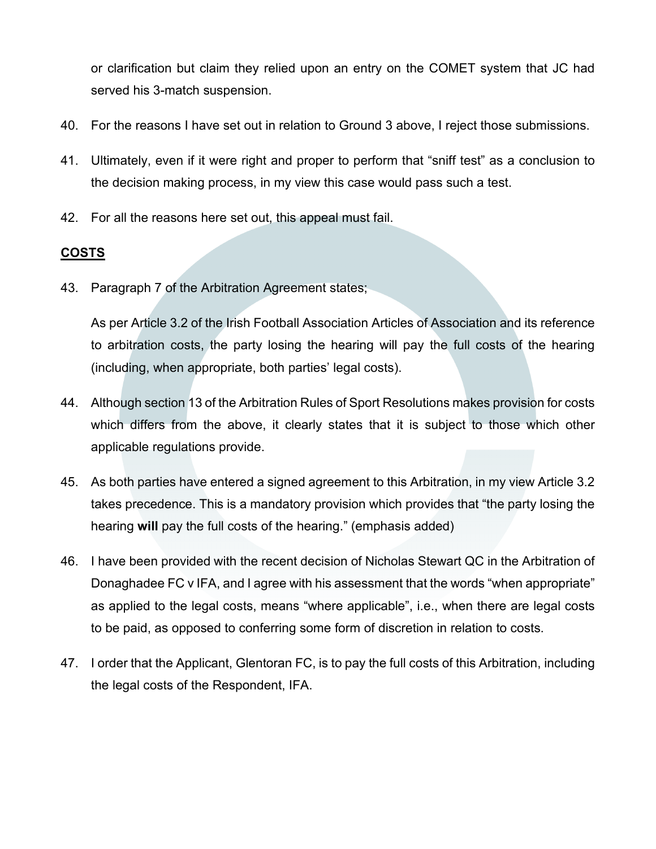or clarification but claim they relied upon an entry on the COMET system that JC had served his 3-match suspension.

- 40. For the reasons I have set out in relation to Ground 3 above, I reject those submissions.
- 41. Ultimately, even if it were right and proper to perform that "sniff test" as a conclusion to the decision making process, in my view this case would pass such a test.
- 42. For all the reasons here set out, this appeal must fail.

## **COSTS**

43. Paragraph 7 of the Arbitration Agreement states;

As per Article 3.2 of the Irish Football Association Articles of Association and its reference to arbitration costs, the party losing the hearing will pay the full costs of the hearing (including, when appropriate, both parties' legal costs).

- 44. Although section 13 of the Arbitration Rules of Sport Resolutions makes provision for costs which differs from the above, it clearly states that it is subject to those which other applicable regulations provide.
- 45. As both parties have entered a signed agreement to this Arbitration, in my view Article 3.2 takes precedence. This is a mandatory provision which provides that "the party losing the hearing **will** pay the full costs of the hearing." (emphasis added)
- 46. I have been provided with the recent decision of Nicholas Stewart QC in the Arbitration of Donaghadee FC v IFA, and I agree with his assessment that the words "when appropriate" as applied to the legal costs, means "where applicable", i.e., when there are legal costs to be paid, as opposed to conferring some form of discretion in relation to costs.
- 47. I order that the Applicant, Glentoran FC, is to pay the full costs of this Arbitration, including the legal costs of the Respondent, IFA.